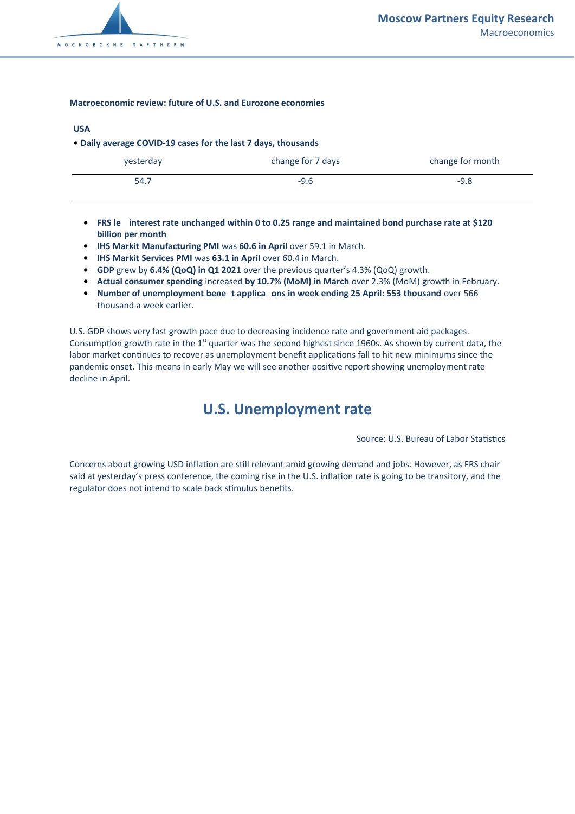

#### **Macroeconomic review: future of U.S. and Eurozone economies**

#### **USA**

**• Daily average COVID-19 cases for the last 7 days, thousands**

| yesterday | change for 7 days | change for month |
|-----------|-------------------|------------------|
| 54.7      | $-9.6$            | $-9.8$           |

- **• FRS le interest rate unchanged within 0 to 0.25 range and maintained bond purchase rate at \$120 billion per month**
- **•** IHS Markit Manufacturing PMI was 60.6 in April over 59.1 in March.
- **•** IHS Markit Services PMI was 63.1 in April over 60.4 in March.
- **• GDP** grew by **6.4% (QoQ) in Q1 2021** over the previous quarter's 4.3% (QoQ) growth.
- **• Actual consumer spending** increased **by 10.7% (MoM) in March** over 2.3% (MoM) growth in February.
- **• Number of unemployment bene t applica ons in week ending 25 April: 553 thousand** over 566 thousand a week earlier.

U.S. GDP shows very fast growth pace due to decreasing incidence rate and government aid packages. Consumption growth rate in the 1<sup>st</sup> quarter was the second highest since 1960s. As shown by current data, the labor market continues to recover as unemployment benefit applications fall to hit new minimums since the pandemic onset. This means in early May we will see another positive report showing unemployment rate decline in April.

# **U.S. Unemployment rate**

Source: U.S. Bureau of Labor Statistics

Concerns about growing USD inflation are still relevant amid growing demand and jobs. However, as FRS chair said at yesterday's press conference, the coming rise in the U.S. inflation rate is going to be transitory, and the regulator does not intend to scale back stimulus benefits.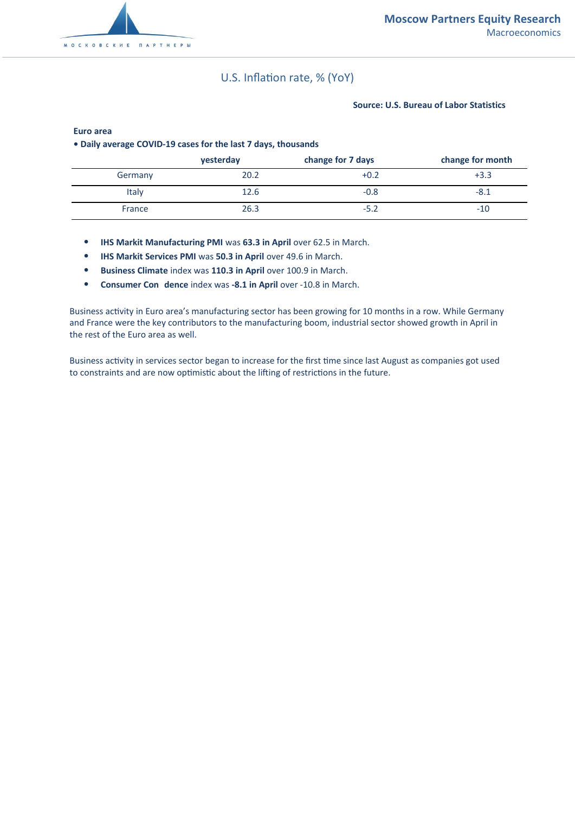### U.S. Inflation rate, % (YoY)

#### **Source: U.S. Bureau of Labor Statistics**

| • Daily average COVID-19 cases for the last 7 days, thousands |           |                   |                  |  |
|---------------------------------------------------------------|-----------|-------------------|------------------|--|
|                                                               | vesterday | change for 7 days | change for month |  |
| Germany                                                       | 20.2      | $+0.2$            | $+3.3$           |  |
| Italy                                                         | 12.6      | $-0.8$            | -8.1             |  |
| France                                                        | 26.3      | $-5.2$            | $-10$            |  |

#### **Euro area**

**• Daily average COVID-19 cases for the last 7 days, thousands**

- **IHS Markit Manufacturing PMI** was **63.3 in April** over 62.5 in March.
- **IHS Markit Services PMI** was **50.3 in April** over 49.6 in March.
- **Business Climate** index was **110.3 in April** over 100.9 in March.
- **Consumer Con dence index was -8.1 in April over -10.8 in March.**

Business activity in Euro area's manufacturing sector has been growing for 10 months in a row. While Germany and France were the key contributors to the manufacturing boom, industrial sector showed growth in April in the rest of the Euro area as well.

Business activity in services sector began to increase for the first time since last August as companies got used to constraints and are now optimistic about the lifting of restrictions in the future.